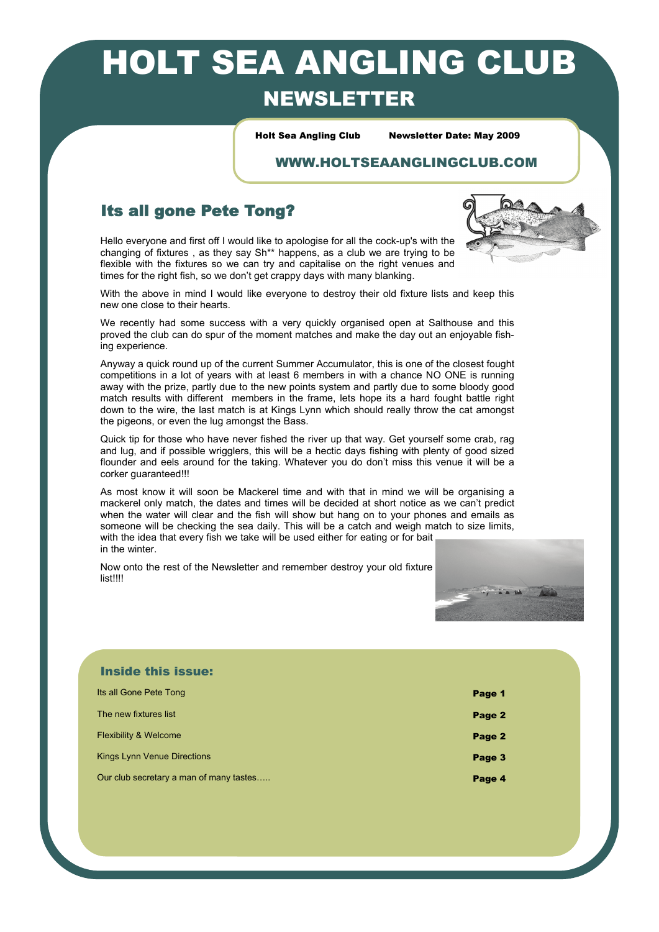# HOLT SEA ANGLING CLUB NEWSLETTER

Holt Sea Angling Club Newsletter Date: May 2009

#### WWW.HOLTSEAANGLINGCLUB.COM

### Its all gone Pete Tong?

Hello everyone and first off I would like to apologise for all the cock-up's with the changing of fixtures , as they say Sh\*\* happens, as a club we are trying to be flexible with the fixtures so we can try and capitalise on the right venues and times for the right fish, so we don't get crappy days with many blanking.



With the above in mind I would like everyone to destroy their old fixture lists and keep this new one close to their hearts.

We recently had some success with a very quickly organised open at Salthouse and this proved the club can do spur of the moment matches and make the day out an enjoyable fishing experience.

Anyway a quick round up of the current Summer Accumulator, this is one of the closest fought competitions in a lot of years with at least 6 members in with a chance NO ONE is running away with the prize, partly due to the new points system and partly due to some bloody good match results with different members in the frame, lets hope its a hard fought battle right down to the wire, the last match is at Kings Lynn which should really throw the cat amongst the pigeons, or even the lug amongst the Bass.

Quick tip for those who have never fished the river up that way. Get yourself some crab, rag and lug, and if possible wrigglers, this will be a hectic days fishing with plenty of good sized flounder and eels around for the taking. Whatever you do don't miss this venue it will be a corker guaranteed!!!

As most know it will soon be Mackerel time and with that in mind we will be organising a mackerel only match, the dates and times will be decided at short notice as we can't predict when the water will clear and the fish will show but hang on to your phones and emails as someone will be checking the sea daily. This will be a catch and weigh match to size limits, with the idea that every fish we take will be used either for eating or for bait in the winter.

Now onto the rest of the Newsletter and remember destroy your old fixture list!!!!



| <b>Inside this issue:</b>               |        |
|-----------------------------------------|--------|
| Its all Gone Pete Tong                  | Page 1 |
| The new fixtures list                   | Page 2 |
| <b>Flexibility &amp; Welcome</b>        | Page 2 |
| <b>Kings Lynn Venue Directions</b>      | Page 3 |
| Our club secretary a man of many tastes | Page 4 |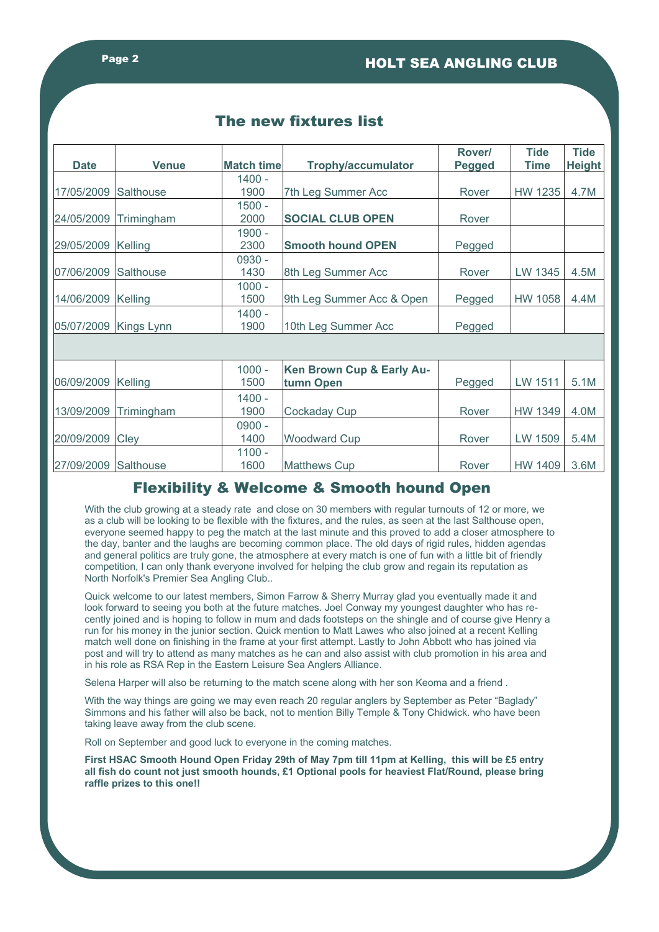| <b>Date</b>           | <b>Venue</b>     | Match time | <b>Trophy/accumulator</b>              | Rover/<br><b>Pegged</b> | <b>Tide</b><br><b>Time</b> | <b>Tide</b><br><b>Height</b> |
|-----------------------|------------------|------------|----------------------------------------|-------------------------|----------------------------|------------------------------|
|                       |                  | 1400 -     |                                        |                         |                            |                              |
| 17/05/2009            | <b>Salthouse</b> | 1900       | 7th Leg Summer Acc                     | Rover                   | HW 1235                    | 4.7M                         |
|                       |                  | 1500 -     |                                        |                         |                            |                              |
| 24/05/2009            | Trimingham       | 2000       | <b>SOCIAL CLUB OPEN</b>                | Rover                   |                            |                              |
|                       |                  | 1900 -     |                                        |                         |                            |                              |
| 29/05/2009            | Kelling          | 2300       | <b>Smooth hound OPEN</b>               | Pegged                  |                            |                              |
|                       |                  | 0930 -     |                                        |                         |                            |                              |
| 07/06/2009            | Salthouse        | 1430       | 8th Leg Summer Acc                     | Rover                   | LW 1345                    | 4.5M                         |
|                       |                  | $1000 -$   |                                        |                         |                            |                              |
| 14/06/2009            | Kelling          | 1500       | 9th Leg Summer Acc & Open              | Pegged                  | <b>HW 1058</b>             | 4.4M                         |
|                       |                  | 1400 -     |                                        |                         |                            |                              |
| 05/07/2009 Kings Lynn |                  | 1900       | 10th Leg Summer Acc                    | Pegged                  |                            |                              |
|                       |                  |            |                                        |                         |                            |                              |
|                       |                  | $1000 -$   |                                        |                         |                            |                              |
| 06/09/2009            | Kelling          | 1500       | Ken Brown Cup & Early Au-<br>tumn Open | Pegged                  | LW 1511                    | 5.1M                         |
|                       |                  |            |                                        |                         |                            |                              |
|                       |                  | $1400 -$   |                                        |                         |                            |                              |
| 13/09/2009            | Trimingham       | 1900       | <b>Cockaday Cup</b>                    | Rover                   | <b>HW 1349</b>             | 4.0M                         |
|                       |                  | $0900 -$   |                                        |                         |                            |                              |
| 20/09/2009            | Cley             | 1400       | <b>Woodward Cup</b>                    | Rover                   | LW 1509                    | 5.4M                         |
|                       |                  | $1100 -$   |                                        |                         |                            |                              |
| 27/09/2009            | Salthouse        | 1600       | <b>Matthews Cup</b>                    | Rover                   | HW 1409                    | 3.6M                         |

### The new fixtures list

#### Flexibility & Welcome & Smooth hound Open

With the club growing at a steady rate and close on 30 members with regular turnouts of 12 or more, we as a club will be looking to be flexible with the fixtures, and the rules, as seen at the last Salthouse open, everyone seemed happy to peg the match at the last minute and this proved to add a closer atmosphere to the day, banter and the laughs are becoming common place. The old days of rigid rules, hidden agendas and general politics are truly gone, the atmosphere at every match is one of fun with a little bit of friendly competition, I can only thank everyone involved for helping the club grow and regain its reputation as North Norfolk's Premier Sea Angling Club..

Quick welcome to our latest members, Simon Farrow & Sherry Murray glad you eventually made it and look forward to seeing you both at the future matches. Joel Conway my youngest daughter who has recently joined and is hoping to follow in mum and dads footsteps on the shingle and of course give Henry a run for his money in the junior section. Quick mention to Matt Lawes who also joined at a recent Kelling match well done on finishing in the frame at your first attempt. Lastly to John Abbott who has joined via post and will try to attend as many matches as he can and also assist with club promotion in his area and in his role as RSA Rep in the Eastern Leisure Sea Anglers Alliance.

Selena Harper will also be returning to the match scene along with her son Keoma and a friend .

With the way things are going we may even reach 20 regular anglers by September as Peter "Baglady" Simmons and his father will also be back, not to mention Billy Temple & Tony Chidwick. who have been taking leave away from the club scene.

Roll on September and good luck to everyone in the coming matches.

**First HSAC Smooth Hound Open Friday 29th of May 7pm till 11pm at Kelling, this will be £5 entry all fish do count not just smooth hounds, £1 Optional pools for heaviest Flat/Round, please bring raffle prizes to this one!!**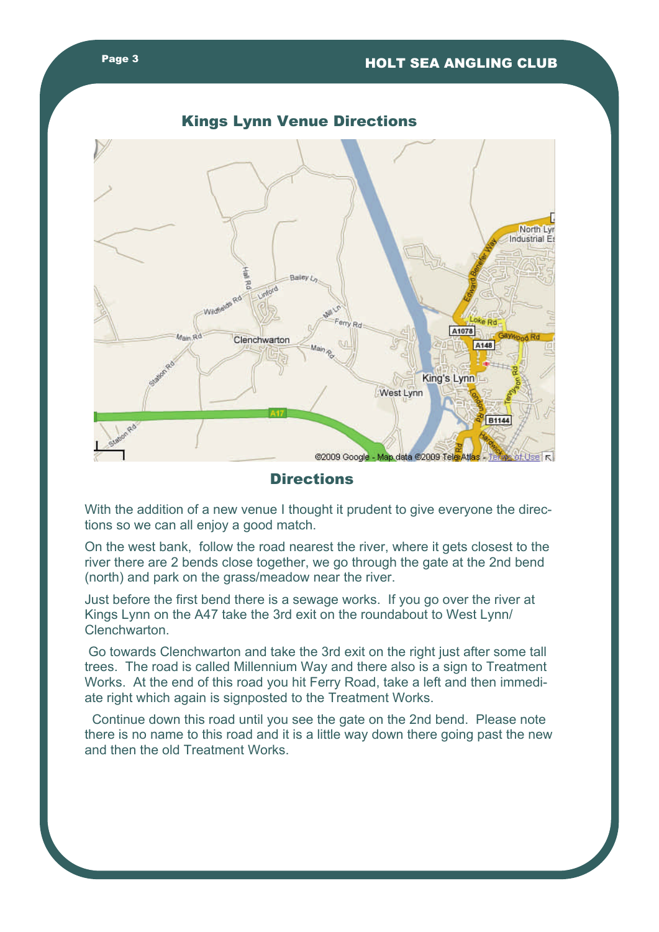



**Directions** 

With the addition of a new venue I thought it prudent to give everyone the directions so we can all enjoy a good match.

On the west bank, follow the road nearest the river, where it gets closest to the river there are 2 bends close together, we go through the gate at the 2nd bend (north) and park on the grass/meadow near the river.

Just before the first bend there is a sewage works. If you go over the river at Kings Lynn on the A47 take the 3rd exit on the roundabout to West Lynn/ Clenchwarton.

 Go towards Clenchwarton and take the 3rd exit on the right just after some tall trees. The road is called Millennium Way and there also is a sign to Treatment Works. At the end of this road you hit Ferry Road, take a left and then immediate right which again is signposted to the Treatment Works.

 Continue down this road until you see the gate on the 2nd bend. Please note there is no name to this road and it is a little way down there going past the new and then the old Treatment Works.